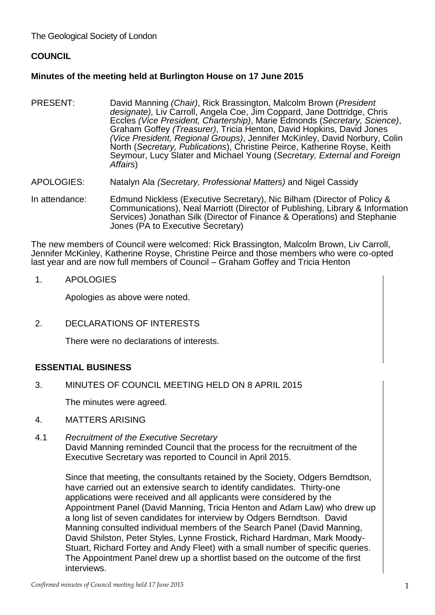The Geological Society of London

# **COUNCIL**

# **Minutes of the meeting held at Burlington House on 17 June 2015**

- PRESENT: David Manning *(Chair)*, Rick Brassington, Malcolm Brown (*President designate),* Liv Carroll, Angela Coe, Jim Coppard, Jane Dottridge, Chris Eccles *(Vice President, Chartership)*, Marie Edmonds (*Secretary, Science)*, Graham Goffey *(Treasurer)*, Tricia Henton, David Hopkins, David Jones *(Vice President, Regional Groups)*, Jennifer McKinley, David Norbury, Colin North (*Secretary, Publications*), Christine Peirce, Katherine Royse, Keith Seymour, Lucy Slater and Michael Young (*Secretary, External and Foreign Affairs*)
- APOLOGIES: Natalyn Ala *(Secretary, Professional Matters)* and Nigel Cassidy
- In attendance: Edmund Nickless (Executive Secretary), Nic Bilham (Director of Policy & Communications), Neal Marriott (Director of Publishing, Library & Information Services) Jonathan Silk (Director of Finance & Operations) and Stephanie Jones (PA to Executive Secretary)

The new members of Council were welcomed: Rick Brassington, Malcolm Brown, Liv Carroll, Jennifer McKinley, Katherine Royse, Christine Peirce and those members who were co-opted last year and are now full members of Council – Graham Goffey and Tricia Henton

1. APOLOGIES

Apologies as above were noted.

2. DECLARATIONS OF INTERESTS

There were no declarations of interests.

# **ESSENTIAL BUSINESS**

3. MINUTES OF COUNCIL MEETING HELD ON 8 APRIL 2015

The minutes were agreed.

- 4. MATTERS ARISING
- 4.1 *Recruitment of the Executive Secretary* David Manning reminded Council that the process for the recruitment of the Executive Secretary was reported to Council in April 2015.

Since that meeting, the consultants retained by the Society, Odgers Berndtson, have carried out an extensive search to identify candidates. Thirty-one applications were received and all applicants were considered by the Appointment Panel (David Manning, Tricia Henton and Adam Law) who drew up a long list of seven candidates for interview by Odgers Berndtson. David Manning consulted individual members of the Search Panel (David Manning, David Shilston, Peter Styles, Lynne Frostick, Richard Hardman, Mark Moody-Stuart, Richard Fortey and Andy Fleet) with a small number of specific queries. The Appointment Panel drew up a shortlist based on the outcome of the first interviews.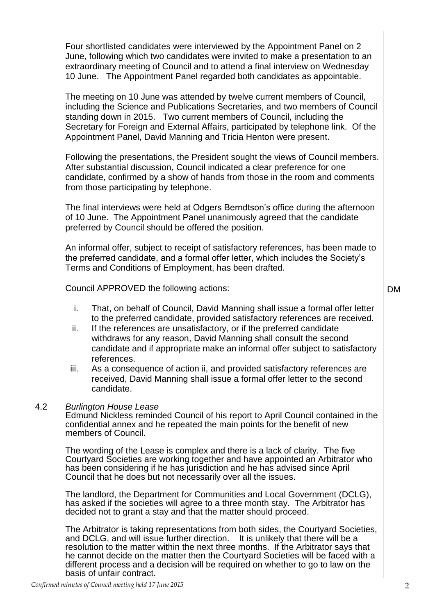Four shortlisted candidates were interviewed by the Appointment Panel on 2 June, following which two candidates were invited to make a presentation to an extraordinary meeting of Council and to attend a final interview on Wednesday 10 June. The Appointment Panel regarded both candidates as appointable.

The meeting on 10 June was attended by twelve current members of Council, including the Science and Publications Secretaries, and two members of Council standing down in 2015. Two current members of Council, including the Secretary for Foreign and External Affairs, participated by telephone link. Of the Appointment Panel, David Manning and Tricia Henton were present.

Following the presentations, the President sought the views of Council members. After substantial discussion, Council indicated a clear preference for one candidate, confirmed by a show of hands from those in the room and comments from those participating by telephone.

The final interviews were held at Odgers Berndtson's office during the afternoon of 10 June. The Appointment Panel unanimously agreed that the candidate preferred by Council should be offered the position.

An informal offer, subject to receipt of satisfactory references, has been made to the preferred candidate, and a formal offer letter, which includes the Society's Terms and Conditions of Employment, has been drafted.

Council APPROVED the following actions:

- i. That, on behalf of Council, David Manning shall issue a formal offer letter to the preferred candidate, provided satisfactory references are received.
- ii. If the references are unsatisfactory, or if the preferred candidate withdraws for any reason, David Manning shall consult the second candidate and if appropriate make an informal offer subject to satisfactory references.
- iii. As a consequence of action ii, and provided satisfactory references are received, David Manning shall issue a formal offer letter to the second candidate.

### 4.2 *Burlington House Lease*

Edmund Nickless reminded Council of his report to April Council contained in the confidential annex and he repeated the main points for the benefit of new members of Council.

The wording of the Lease is complex and there is a lack of clarity. The five Courtyard Societies are working together and have appointed an Arbitrator who has been considering if he has jurisdiction and he has advised since April Council that he does but not necessarily over all the issues.

The landlord, the Department for Communities and Local Government (DCLG), has asked if the societies will agree to a three month stay. The Arbitrator has decided not to grant a stay and that the matter should proceed.

The Arbitrator is taking representations from both sides, the Courtyard Societies, and DCLG, and will issue further direction. It is unlikely that there will be a resolution to the matter within the next three months. If the Arbitrator says that he cannot decide on the matter then the Courtyard Societies will be faced with a different process and a decision will be required on whether to go to law on the basis of unfair contract.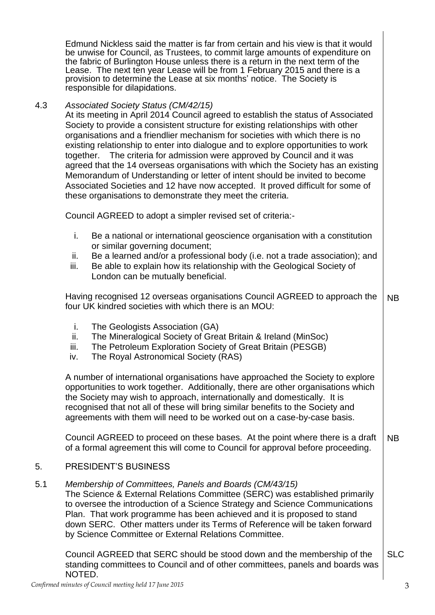Edmund Nickless said the matter is far from certain and his view is that it would be unwise for Council, as Trustees, to commit large amounts of expenditure on the fabric of Burlington House unless there is a return in the next term of the Lease. The next ten year Lease will be from 1 February 2015 and there is a provision to determine the Lease at six months' notice. The Society is responsible for dilapidations.

# 4.3 *Associated Society Status (CM/42/15)*

At its meeting in April 2014 Council agreed to establish the status of Associated Society to provide a consistent structure for existing relationships with other organisations and a friendlier mechanism for societies with which there is no existing relationship to enter into dialogue and to explore opportunities to work together. The criteria for admission were approved by Council and it was agreed that the 14 overseas organisations with which the Society has an existing Memorandum of Understanding or letter of intent should be invited to become Associated Societies and 12 have now accepted. It proved difficult for some of these organisations to demonstrate they meet the criteria.

Council AGREED to adopt a simpler revised set of criteria:-

- i. Be a national or international geoscience organisation with a constitution or similar governing document;
- ii. Be a learned and/or a professional body (i.e. not a trade association); and
- iii. Be able to explain how its relationship with the Geological Society of London can be mutually beneficial.

Having recognised 12 overseas organisations Council AGREED to approach the four UK kindred societies with which there is an MOU: NB

- i. The Geologists Association (GA)
- ii. The Mineralogical Society of Great Britain & Ireland (MinSoc)
- iii. The Petroleum Exploration Society of Great Britain (PESGB)
- iv. The Royal Astronomical Society (RAS)

A number of international organisations have approached the Society to explore opportunities to work together. Additionally, there are other organisations which the Society may wish to approach, internationally and domestically. It is recognised that not all of these will bring similar benefits to the Society and agreements with them will need to be worked out on a case-by-case basis.

Council AGREED to proceed on these bases. At the point where there is a draft of a formal agreement this will come to Council for approval before proceeding. NB

#### 5. PRESIDENT'S BUSINESS

5.1 *Membership of Committees, Panels and Boards (CM/43/15)*

The Science & External Relations Committee (SERC) was established primarily to oversee the introduction of a Science Strategy and Science Communications Plan. That work programme has been achieved and it is proposed to stand down SERC. Other matters under its Terms of Reference will be taken forward by Science Committee or External Relations Committee.

Council AGREED that SERC should be stood down and the membership of the standing committees to Council and of other committees, panels and boards was NOTED. SLC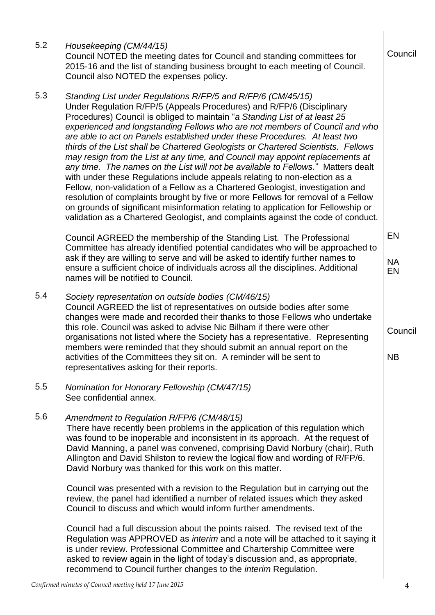| 5.2 | Housekeeping (CM/44/15)<br>Council NOTED the meeting dates for Council and standing committees for<br>2015-16 and the list of standing business brought to each meeting of Council.<br>Council also NOTED the expenses policy.                                                                                                                                                                                                                                                                                                                                                                                                                                                                                                                                                                                                                                                                                                                                                                                                                                           | Council               |
|-----|--------------------------------------------------------------------------------------------------------------------------------------------------------------------------------------------------------------------------------------------------------------------------------------------------------------------------------------------------------------------------------------------------------------------------------------------------------------------------------------------------------------------------------------------------------------------------------------------------------------------------------------------------------------------------------------------------------------------------------------------------------------------------------------------------------------------------------------------------------------------------------------------------------------------------------------------------------------------------------------------------------------------------------------------------------------------------|-----------------------|
| 5.3 | Standing List under Regulations R/FP/5 and R/FP/6 (CM/45/15)<br>Under Regulation R/FP/5 (Appeals Procedures) and R/FP/6 (Disciplinary<br>Procedures) Council is obliged to maintain "a Standing List of at least 25<br>experienced and longstanding Fellows who are not members of Council and who<br>are able to act on Panels established under these Procedures. At least two<br>thirds of the List shall be Chartered Geologists or Chartered Scientists. Fellows<br>may resign from the List at any time, and Council may appoint replacements at<br>any time. The names on the List will not be available to Fellows." Matters dealt<br>with under these Regulations include appeals relating to non-election as a<br>Fellow, non-validation of a Fellow as a Chartered Geologist, investigation and<br>resolution of complaints brought by five or more Fellows for removal of a Fellow<br>on grounds of significant misinformation relating to application for Fellowship or<br>validation as a Chartered Geologist, and complaints against the code of conduct. |                       |
|     | Council AGREED the membership of the Standing List. The Professional<br>Committee has already identified potential candidates who will be approached to<br>ask if they are willing to serve and will be asked to identify further names to<br>ensure a sufficient choice of individuals across all the disciplines. Additional<br>names will be notified to Council.                                                                                                                                                                                                                                                                                                                                                                                                                                                                                                                                                                                                                                                                                                     | EN<br><b>NA</b><br>EN |
| 5.4 | Society representation on outside bodies (CM/46/15)<br>Council AGREED the list of representatives on outside bodies after some<br>changes were made and recorded their thanks to those Fellows who undertake<br>this role. Council was asked to advise Nic Bilham if there were other<br>organisations not listed where the Society has a representative. Representing<br>members were reminded that they should submit an annual report on the<br>activities of the Committees they sit on. A reminder will be sent to<br>representatives asking for their reports.                                                                                                                                                                                                                                                                                                                                                                                                                                                                                                     | Council<br><b>NB</b>  |
| 5.5 | Nomination for Honorary Fellowship (CM/47/15)<br>See confidential annex.                                                                                                                                                                                                                                                                                                                                                                                                                                                                                                                                                                                                                                                                                                                                                                                                                                                                                                                                                                                                 |                       |
| 5.6 | Amendment to Regulation R/FP/6 (CM/48/15)<br>There have recently been problems in the application of this regulation which<br>was found to be inoperable and inconsistent in its approach. At the request of<br>David Manning, a panel was convened, comprising David Norbury (chair), Ruth<br>Allington and David Shilston to review the logical flow and wording of R/FP/6.<br>David Norbury was thanked for this work on this matter.                                                                                                                                                                                                                                                                                                                                                                                                                                                                                                                                                                                                                                 |                       |
|     | Council was presented with a revision to the Regulation but in carrying out the<br>review, the panel had identified a number of related issues which they asked<br>Council to discuss and which would inform further amendments.                                                                                                                                                                                                                                                                                                                                                                                                                                                                                                                                                                                                                                                                                                                                                                                                                                         |                       |
|     | Council had a full discussion about the points raised. The revised text of the<br>Regulation was APPROVED as interim and a note will be attached to it saying it<br>is under review. Professional Committee and Chartership Committee were<br>asked to review again in the light of today's discussion and, as appropriate,<br>recommend to Council further changes to the <i>interim</i> Regulation.                                                                                                                                                                                                                                                                                                                                                                                                                                                                                                                                                                                                                                                                    |                       |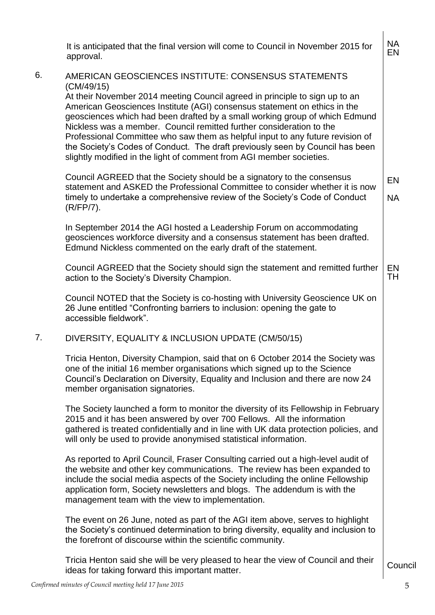|    | It is anticipated that the final version will come to Council in November 2015 for<br>approval.                                                                                                                                                                                                                                                                                                                                                                                                                                                                                                                                  | <b>NA</b><br>EN |
|----|----------------------------------------------------------------------------------------------------------------------------------------------------------------------------------------------------------------------------------------------------------------------------------------------------------------------------------------------------------------------------------------------------------------------------------------------------------------------------------------------------------------------------------------------------------------------------------------------------------------------------------|-----------------|
| 6. | AMERICAN GEOSCIENCES INSTITUTE: CONSENSUS STATEMENTS<br>(CM/49/15)<br>At their November 2014 meeting Council agreed in principle to sign up to an<br>American Geosciences Institute (AGI) consensus statement on ethics in the<br>geosciences which had been drafted by a small working group of which Edmund<br>Nickless was a member. Council remitted further consideration to the<br>Professional Committee who saw them as helpful input to any future revision of<br>the Society's Codes of Conduct. The draft previously seen by Council has been<br>slightly modified in the light of comment from AGI member societies. |                 |
|    | Council AGREED that the Society should be a signatory to the consensus<br>statement and ASKED the Professional Committee to consider whether it is now<br>timely to undertake a comprehensive review of the Society's Code of Conduct<br>$(R/FP/7)$ .                                                                                                                                                                                                                                                                                                                                                                            | EN<br><b>NA</b> |
|    | In September 2014 the AGI hosted a Leadership Forum on accommodating<br>geosciences workforce diversity and a consensus statement has been drafted.<br>Edmund Nickless commented on the early draft of the statement.                                                                                                                                                                                                                                                                                                                                                                                                            |                 |
|    | Council AGREED that the Society should sign the statement and remitted further<br>action to the Society's Diversity Champion.                                                                                                                                                                                                                                                                                                                                                                                                                                                                                                    | EN<br>TН        |
|    | Council NOTED that the Society is co-hosting with University Geoscience UK on<br>26 June entitled "Confronting barriers to inclusion: opening the gate to<br>accessible fieldwork".                                                                                                                                                                                                                                                                                                                                                                                                                                              |                 |
| 7. | DIVERSITY, EQUALITY & INCLUSION UPDATE (CM/50/15)                                                                                                                                                                                                                                                                                                                                                                                                                                                                                                                                                                                |                 |
|    | Tricia Henton, Diversity Champion, said that on 6 October 2014 the Society was<br>one of the initial 16 member organisations which signed up to the Science<br>Council's Declaration on Diversity, Equality and Inclusion and there are now 24<br>member organisation signatories.                                                                                                                                                                                                                                                                                                                                               |                 |
|    | The Society launched a form to monitor the diversity of its Fellowship in February<br>2015 and it has been answered by over 700 Fellows. All the information<br>gathered is treated confidentially and in line with UK data protection policies, and<br>will only be used to provide anonymised statistical information.                                                                                                                                                                                                                                                                                                         |                 |
|    | As reported to April Council, Fraser Consulting carried out a high-level audit of<br>the website and other key communications. The review has been expanded to<br>include the social media aspects of the Society including the online Fellowship<br>application form, Society newsletters and blogs. The addendum is with the<br>management team with the view to implementation.                                                                                                                                                                                                                                               |                 |
|    | The event on 26 June, noted as part of the AGI item above, serves to highlight<br>the Society's continued determination to bring diversity, equality and inclusion to<br>the forefront of discourse within the scientific community.                                                                                                                                                                                                                                                                                                                                                                                             |                 |
|    | Tricia Henton said she will be very pleased to hear the view of Council and their<br>ideas for taking forward this important matter.                                                                                                                                                                                                                                                                                                                                                                                                                                                                                             | Council         |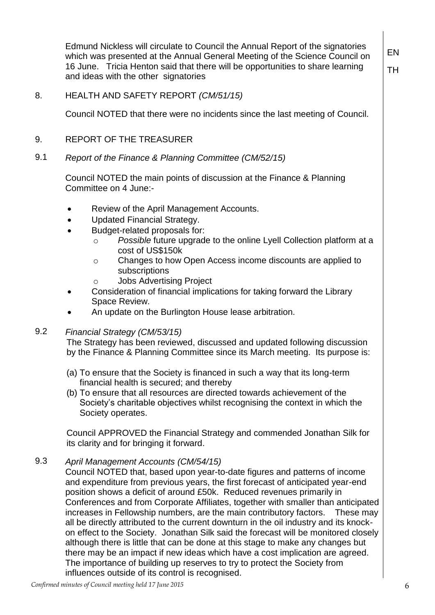Edmund Nickless will circulate to Council the Annual Report of the signatories which was presented at the Annual General Meeting of the Science Council on 16 June. Tricia Henton said that there will be opportunities to share learning and ideas with the other signatories

EN TH

# 8. HEALTH AND SAFETY REPORT *(CM/51/15)*

Council NOTED that there were no incidents since the last meeting of Council.

## 9. REPORT OF THE TREASURER

# 9.1 *Report of the Finance & Planning Committee (CM/52/15)*

Council NOTED the main points of discussion at the Finance & Planning Committee on 4 June:-

- Review of the April Management Accounts.
- Updated Financial Strategy.
- Budget-related proposals for:
	- o *Possible* future upgrade to the online Lyell Collection platform at a cost of US\$150k
	- o Changes to how Open Access income discounts are applied to subscriptions
	- o Jobs Advertising Project
- Consideration of financial implications for taking forward the Library Space Review.
- An update on the Burlington House lease arbitration.

# 9.2 *Financial Strategy (CM/53/15)*

The Strategy has been reviewed, discussed and updated following discussion by the Finance & Planning Committee since its March meeting. Its purpose is:

- (a) To ensure that the Society is financed in such a way that its long-term financial health is secured; and thereby
- (b) To ensure that all resources are directed towards achievement of the Society's charitable objectives whilst recognising the context in which the Society operates.

Council APPROVED the Financial Strategy and commended Jonathan Silk for its clarity and for bringing it forward.

### 9.3 *April Management Accounts (CM/54/15)*

Council NOTED that, based upon year-to-date figures and patterns of income and expenditure from previous years, the first forecast of anticipated year-end position shows a deficit of around £50k. Reduced revenues primarily in Conferences and from Corporate Affiliates, together with smaller than anticipated increases in Fellowship numbers, are the main contributory factors. These may all be directly attributed to the current downturn in the oil industry and its knockon effect to the Society. Jonathan Silk said the forecast will be monitored closely although there is little that can be done at this stage to make any changes but there may be an impact if new ideas which have a cost implication are agreed. The importance of building up reserves to try to protect the Society from influences outside of its control is recognised.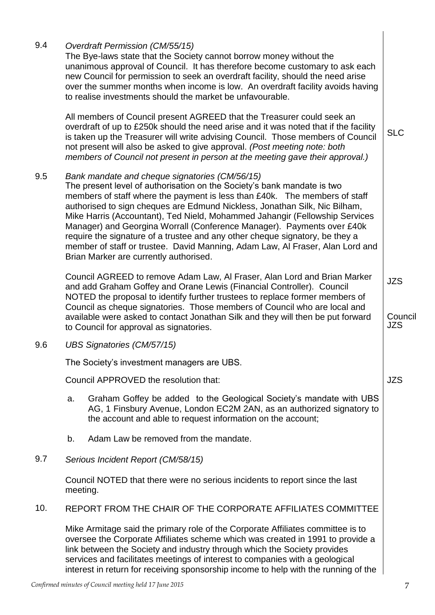| 9.4 |                                                                                         | Overdraft Permission (CM/55/15)<br>The Bye-laws state that the Society cannot borrow money without the<br>unanimous approval of Council. It has therefore become customary to ask each<br>new Council for permission to seek an overdraft facility, should the need arise<br>over the summer months when income is low. An overdraft facility avoids having<br>to realise investments should the market be unfavourable.                                                                                                                                                                                                                                  |                                     |  |  |  |
|-----|-----------------------------------------------------------------------------------------|-----------------------------------------------------------------------------------------------------------------------------------------------------------------------------------------------------------------------------------------------------------------------------------------------------------------------------------------------------------------------------------------------------------------------------------------------------------------------------------------------------------------------------------------------------------------------------------------------------------------------------------------------------------|-------------------------------------|--|--|--|
|     |                                                                                         | All members of Council present AGREED that the Treasurer could seek an<br>overdraft of up to £250k should the need arise and it was noted that if the facility<br>is taken up the Treasurer will write advising Council. Those members of Council<br>not present will also be asked to give approval. (Post meeting note: both<br>members of Council not present in person at the meeting gave their approval.)                                                                                                                                                                                                                                           | <b>SLC</b>                          |  |  |  |
| 9.5 |                                                                                         | Bank mandate and cheque signatories (CM/56/15)<br>The present level of authorisation on the Society's bank mandate is two<br>members of staff where the payment is less than £40k. The members of staff<br>authorised to sign cheques are Edmund Nickless, Jonathan Silk, Nic Bilham,<br>Mike Harris (Accountant), Ted Nield, Mohammed Jahangir (Fellowship Services<br>Manager) and Georgina Worrall (Conference Manager). Payments over £40k<br>require the signature of a trustee and any other cheque signatory, be they a<br>member of staff or trustee. David Manning, Adam Law, Al Fraser, Alan Lord and<br>Brian Marker are currently authorised. |                                     |  |  |  |
|     |                                                                                         | Council AGREED to remove Adam Law, Al Fraser, Alan Lord and Brian Marker<br>and add Graham Goffey and Orane Lewis (Financial Controller). Council<br>NOTED the proposal to identify further trustees to replace former members of<br>Council as cheque signatories. Those members of Council who are local and<br>available were asked to contact Jonathan Silk and they will then be put forward<br>to Council for approval as signatories.                                                                                                                                                                                                              | <b>JZS</b><br>Council<br><b>JZS</b> |  |  |  |
| 9.6 |                                                                                         | <b>UBS Signatories (CM/57/15)</b>                                                                                                                                                                                                                                                                                                                                                                                                                                                                                                                                                                                                                         |                                     |  |  |  |
|     | The Society's investment managers are UBS.                                              |                                                                                                                                                                                                                                                                                                                                                                                                                                                                                                                                                                                                                                                           |                                     |  |  |  |
|     | Council APPROVED the resolution that:                                                   |                                                                                                                                                                                                                                                                                                                                                                                                                                                                                                                                                                                                                                                           |                                     |  |  |  |
|     | a.                                                                                      | Graham Goffey be added to the Geological Society's mandate with UBS<br>AG, 1 Finsbury Avenue, London EC2M 2AN, as an authorized signatory to<br>the account and able to request information on the account;                                                                                                                                                                                                                                                                                                                                                                                                                                               |                                     |  |  |  |
|     | b.                                                                                      | Adam Law be removed from the mandate.                                                                                                                                                                                                                                                                                                                                                                                                                                                                                                                                                                                                                     |                                     |  |  |  |
| 9.7 | Serious Incident Report (CM/58/15)                                                      |                                                                                                                                                                                                                                                                                                                                                                                                                                                                                                                                                                                                                                                           |                                     |  |  |  |
|     | Council NOTED that there were no serious incidents to report since the last<br>meeting. |                                                                                                                                                                                                                                                                                                                                                                                                                                                                                                                                                                                                                                                           |                                     |  |  |  |
| 10. | REPORT FROM THE CHAIR OF THE CORPORATE AFFILIATES COMMITTEE                             |                                                                                                                                                                                                                                                                                                                                                                                                                                                                                                                                                                                                                                                           |                                     |  |  |  |
|     |                                                                                         | Mike Armitage said the primary role of the Corporate Affiliates committee is to<br>oversee the Corporate Affiliates scheme which was created in 1991 to provide a<br>link between the Society and industry through which the Society provides<br>services and facilitates meetings of interest to companies with a geological<br>interest in return for receiving sponsorship income to help with the running of the                                                                                                                                                                                                                                      |                                     |  |  |  |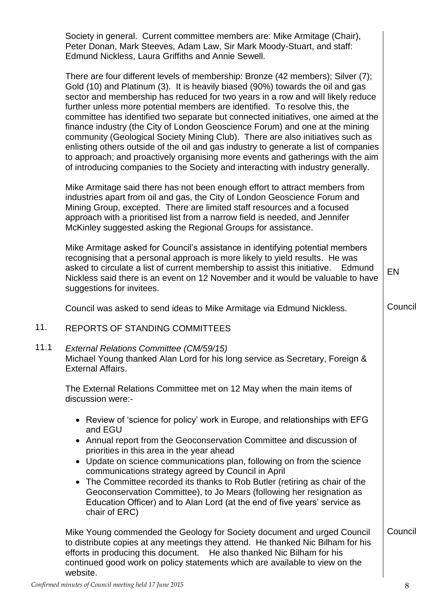Society in general. Current committee members are: Mike Armitage (Chair), Peter Donan, Mark Steeves, Adam Law, Sir Mark Moody-Stuart, and staff: Edmund Nickless, Laura Griffiths and Annie Sewell.

There are four different levels of membership: Bronze (42 members); Silver (7); Gold (10) and Platinum (3). It is heavily biased (90%) towards the oil and gas sector and membership has reduced for two years in a row and will likely reduce further unless more potential members are identified. To resolve this, the committee has identified two separate but connected initiatives, one aimed at the finance industry (the City of London Geoscience Forum) and one at the mining community (Geological Society Mining Club). There are also initiatives such as enlisting others outside of the oil and gas industry to generate a list of companies to approach; and proactively organising more events and gatherings with the aim of introducing companies to the Society and interacting with industry generally.

Mike Armitage said there has not been enough effort to attract members from industries apart from oil and gas, the City of London Geoscience Forum and Mining Group, excepted. There are limited staff resources and a focused approach with a prioritised list from a narrow field is needed, and Jennifer McKinley suggested asking the Regional Groups for assistance.

Mike Armitage asked for Council's assistance in identifying potential members recognising that a personal approach is more likely to yield results. He was asked to circulate a list of current membership to assist this initiative. Edmund Nickless said there is an event on 12 November and it would be valuable to have suggestions for invitees. EN

Council was asked to send ideas to Mike Armitage via Edmund Nickless.

# 11. REPORTS OF STANDING COMMITTEES

## 11.1 *External Relations Committee (CM/59/15)* Michael Young thanked Alan Lord for his long service as Secretary, Foreign & External Affairs.

The External Relations Committee met on 12 May when the main items of discussion were:-

- Review of 'science for policy' work in Europe, and relationships with EFG and EGU
- Annual report from the Geoconservation Committee and discussion of priorities in this area in the year ahead
- Update on science communications plan, following on from the science communications strategy agreed by Council in April
- The Committee recorded its thanks to Rob Butler (retiring as chair of the Geoconservation Committee), to Jo Mears (following her resignation as Education Officer) and to Alan Lord (at the end of five years' service as chair of ERC)

Mike Young commended the Geology for Society document and urged Council to distribute copies at any meetings they attend. He thanked Nic Bilham for his efforts in producing this document. He also thanked Nic Bilham for his continued good work on policy statements which are available to view on the website. Council

**Council**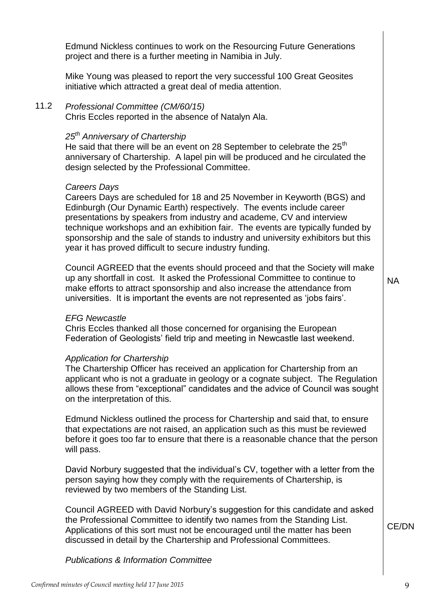Chris Eccles reported in the absence of Natalyn Ala.

project and there is a further meeting in Namibia in July.

initiative which attracted a great deal of media attention.

### *25th Anniversary of Chartership*

He said that there will be an event on 28 September to celebrate the  $25<sup>th</sup>$ anniversary of Chartership. A lapel pin will be produced and he circulated the design selected by the Professional Committee.

Edmund Nickless continues to work on the Resourcing Future Generations

Mike Young was pleased to report the very successful 100 Great Geosites

#### *Careers Days*

Careers Days are scheduled for 18 and 25 November in Keyworth (BGS) and Edinburgh (Our Dynamic Earth) respectively. The events include career presentations by speakers from industry and academe, CV and interview technique workshops and an exhibition fair. The events are typically funded by sponsorship and the sale of stands to industry and university exhibitors but this year it has proved difficult to secure industry funding.

Council AGREED that the events should proceed and that the Society will make up any shortfall in cost. It asked the Professional Committee to continue to make efforts to attract sponsorship and also increase the attendance from universities. It is important the events are not represented as 'jobs fairs'.

#### *EFG Newcastle*

Chris Eccles thanked all those concerned for organising the European Federation of Geologists' field trip and meeting in Newcastle last weekend.

#### *Application for Chartership*

The Chartership Officer has received an application for Chartership from an applicant who is not a graduate in geology or a cognate subject. The Regulation allows these from "exceptional" candidates and the advice of Council was sought on the interpretation of this.

Edmund Nickless outlined the process for Chartership and said that, to ensure that expectations are not raised, an application such as this must be reviewed before it goes too far to ensure that there is a reasonable chance that the person will pass.

David Norbury suggested that the individual's CV, together with a letter from the person saying how they comply with the requirements of Chartership, is reviewed by two members of the Standing List.

Council AGREED with David Norbury's suggestion for this candidate and asked the Professional Committee to identify two names from the Standing List. Applications of this sort must not be encouraged until the matter has been discussed in detail by the Chartership and Professional Committees.

#### *Publications & Information Committee*

CE/DN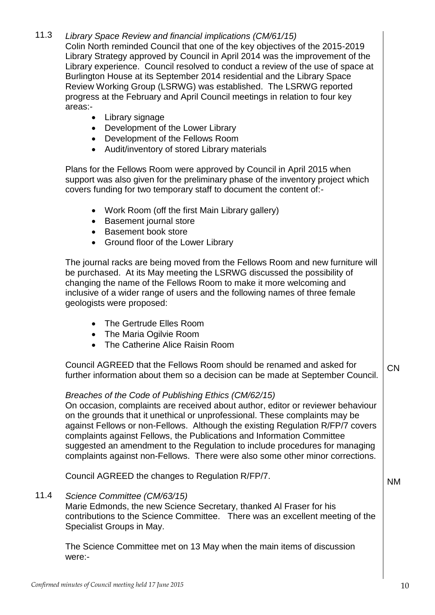# 11.3 *Library Space Review and financial implications (CM/61/15)*

Colin North reminded Council that one of the key objectives of the 2015-2019 Library Strategy approved by Council in April 2014 was the improvement of the Library experience. Council resolved to conduct a review of the use of space at Burlington House at its September 2014 residential and the Library Space Review Working Group (LSRWG) was established. The LSRWG reported progress at the February and April Council meetings in relation to four key areas:-

- Library signage
- Development of the Lower Library
- Development of the Fellows Room
- Audit/inventory of stored Library materials

Plans for the Fellows Room were approved by Council in April 2015 when support was also given for the preliminary phase of the inventory project which covers funding for two temporary staff to document the content of:-

- Work Room (off the first Main Library gallery)
- Basement journal store
- Basement book store
- Ground floor of the Lower Library

The journal racks are being moved from the Fellows Room and new furniture will be purchased. At its May meeting the LSRWG discussed the possibility of changing the name of the Fellows Room to make it more welcoming and inclusive of a wider range of users and the following names of three female geologists were proposed:

- The Gertrude Elles Room
- The Maria Ogilvie Room
- The Catherine Alice Raisin Room

Council AGREED that the Fellows Room should be renamed and asked for further information about them so a decision can be made at September Council. CN

# *Breaches of the Code of Publishing Ethics (CM/62/15)*

On occasion, complaints are received about author, editor or reviewer behaviour on the grounds that it unethical or unprofessional. These complaints may be against Fellows or non-Fellows. Although the existing Regulation R/FP/7 covers complaints against Fellows, the Publications and Information Committee suggested an amendment to the Regulation to include procedures for managing complaints against non-Fellows. There were also some other minor corrections.

Council AGREED the changes to Regulation R/FP/7.

11.4 *Science Committee (CM/63/15)*

Marie Edmonds, the new Science Secretary, thanked Al Fraser for his contributions to the Science Committee. There was an excellent meeting of the Specialist Groups in May.

The Science Committee met on 13 May when the main items of discussion were:-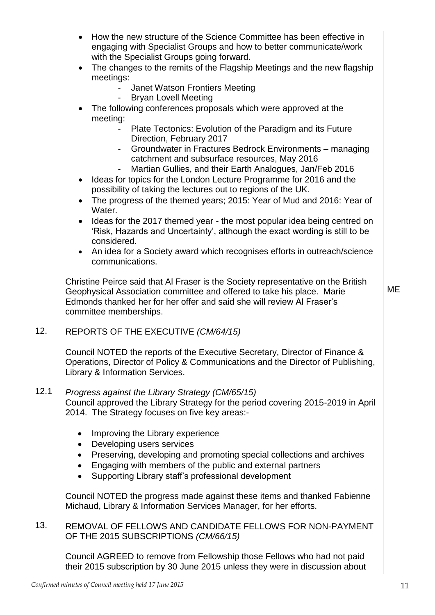- How the new structure of the Science Committee has been effective in engaging with Specialist Groups and how to better communicate/work with the Specialist Groups going forward.
- The changes to the remits of the Flagship Meetings and the new flagship meetings:
	- Janet Watson Frontiers Meeting
		- Bryan Lovell Meeting
- The following conferences proposals which were approved at the meeting:
	- Plate Tectonics: Evolution of the Paradigm and its Future Direction, February 2017
	- Groundwater in Fractures Bedrock Environments managing catchment and subsurface resources, May 2016
	- Martian Gullies, and their Earth Analogues, Jan/Feb 2016
- Ideas for topics for the London Lecture Programme for 2016 and the possibility of taking the lectures out to regions of the UK.
- The progress of the themed years; 2015: Year of Mud and 2016: Year of Water.
- Ideas for the 2017 themed year the most popular idea being centred on 'Risk, Hazards and Uncertainty', although the exact wording is still to be considered.
- An idea for a Society award which recognises efforts in outreach/science communications.

Christine Peirce said that Al Fraser is the Society representative on the British Geophysical Association committee and offered to take his place. Marie Edmonds thanked her for her offer and said she will review Al Fraser's committee memberships.

12. REPORTS OF THE EXECUTIVE *(CM/64/15)*

Council NOTED the reports of the Executive Secretary, Director of Finance & Operations, Director of Policy & Communications and the Director of Publishing, Library & Information Services.

# 12.1 *Progress against the Library Strategy (CM/65/15)*

Council approved the Library Strategy for the period covering 2015-2019 in April 2014. The Strategy focuses on five key areas:-

- Improving the Library experience
- Developing users services
- Preserving, developing and promoting special collections and archives
- Engaging with members of the public and external partners
- Supporting Library staff's professional development

Council NOTED the progress made against these items and thanked Fabienne Michaud, Library & Information Services Manager, for her efforts.

13. REMOVAL OF FELLOWS AND CANDIDATE FELLOWS FOR NON-PAYMENT OF THE 2015 SUBSCRIPTIONS *(CM/66/15)*

Council AGREED to remove from Fellowship those Fellows who had not paid their 2015 subscription by 30 June 2015 unless they were in discussion about ME